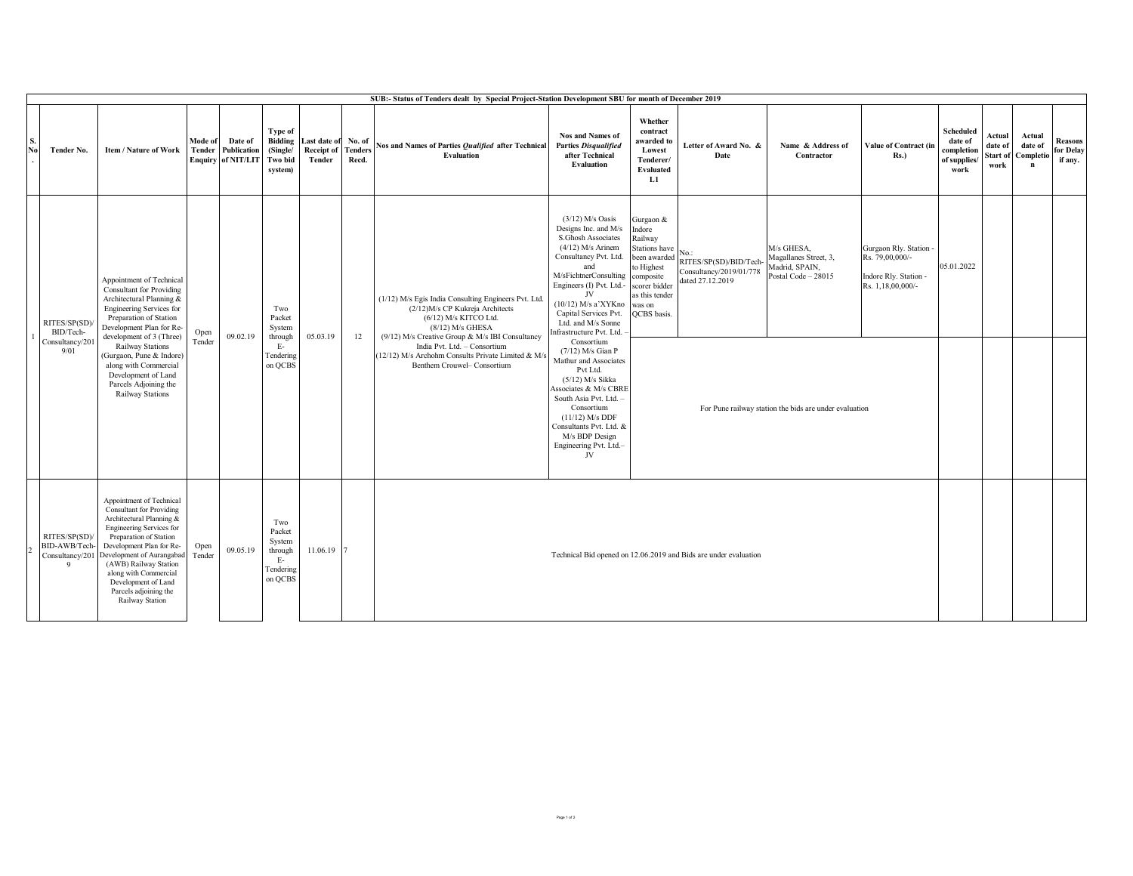|           | SUB:- Status of Tenders dealt by Special Project-Station Development SBU for month of December 2019 |                                                                                                                                                                                                                                                                                                                                                    |                   |                                                     |                                                                    |                                     |                                   |                                                                                                                                                                                                                                                                                                                |                                                                                                                                                                                                                                                                                                                                                                                                                                                                                                                                                         |                                                                                                                                                               |                                                                                  |                                                                                                                                        |                                                                                         |                                                            |                                       |                                |                                        |
|-----------|-----------------------------------------------------------------------------------------------------|----------------------------------------------------------------------------------------------------------------------------------------------------------------------------------------------------------------------------------------------------------------------------------------------------------------------------------------------------|-------------------|-----------------------------------------------------|--------------------------------------------------------------------|-------------------------------------|-----------------------------------|----------------------------------------------------------------------------------------------------------------------------------------------------------------------------------------------------------------------------------------------------------------------------------------------------------------|---------------------------------------------------------------------------------------------------------------------------------------------------------------------------------------------------------------------------------------------------------------------------------------------------------------------------------------------------------------------------------------------------------------------------------------------------------------------------------------------------------------------------------------------------------|---------------------------------------------------------------------------------------------------------------------------------------------------------------|----------------------------------------------------------------------------------|----------------------------------------------------------------------------------------------------------------------------------------|-----------------------------------------------------------------------------------------|------------------------------------------------------------|---------------------------------------|--------------------------------|----------------------------------------|
| S.<br>No. | Tender No.                                                                                          | Item / Nature of Work                                                                                                                                                                                                                                                                                                                              | Mode of<br>Tender | Date of<br>Publication<br><b>Enquiry of NIT/LIT</b> | Type of<br><b>Bidding</b><br>(Single/<br>Two bid<br>system)        | ast date of<br>Receipt of<br>Tender | No. of<br><b>Tenders</b><br>Recd. | Nos and Names of Parties Oualified after Technical<br><b>Evaluation</b>                                                                                                                                                                                                                                        | <b>Nos and Names of</b><br><b>Parties Disqualified</b><br>after Technical<br>Evaluation                                                                                                                                                                                                                                                                                                                                                                                                                                                                 | Whether<br>contract<br>awarded to<br>Lowest<br>Tenderer/<br>Evaluated<br>L1                                                                                   | Letter of Award No. &<br>Date                                                    | Name & Address of<br>Contractor                                                                                                        | <b>Value of Contract (in</b><br>$Rs.$ )                                                 | Scheduled<br>date of<br>completion<br>of supplies/<br>work | Actual<br>date of<br>Start of<br>work | Actual<br>date of<br>Completio | <b>Reasons</b><br>for Delay<br>if any. |
|           | RITES/SP(SD)<br>BID/Tech-<br>Consultancy/201<br>9/01                                                | Appointment of Technical<br><b>Consultant</b> for Providing<br>Architectural Planning &<br>Engineering Services for<br>Preparation of Station<br>Development Plan for Re-<br>development of 3 (Three)<br>Railway Stations<br>(Gurgaon, Pune & Indore)<br>along with Commercial<br>Development of Land<br>Parcels Adjoining the<br>Railway Stations | Open<br>Tender    | 09.02.19                                            | Two<br>Packet<br>System<br>through<br>Е-<br>Tendering<br>on QCBS   | 05.03.19                            | 12                                | (1/12) M/s Egis India Consulting Engineers Pvt. Ltd<br>(2/12) M/s CP Kukreja Architects<br>(6/12) M/s KITCO Ltd.<br>$(8/12)$ M/s GHESA<br>(9/12) M/s Creative Group & M/s IBI Consultancy<br>India Pvt. Ltd. - Consortium<br>(12/12) M/s Archohm Consults Private Limited & M/s<br>Benthem Crouwel- Consortium | $(3/12)$ M/s Oasis<br>Designs Inc. and M/s<br>S.Ghosh Associates<br>$(4/12)$ M/s Arinem<br>Consultancy Pvt. Ltd.<br>and<br>M/sFichtnerConsulting<br>Engineers (I) Pvt. Ltd.-<br>JV<br>$(10/12)$ M/s a'XYKno<br>Capital Services Pvt.<br>Ltd. and M/s Sonne<br>Infrastructure Pvt. Ltd.<br>Consortium<br>$(7/12)$ M/s Gian P<br>Mathur and Associates<br>Pvt Ltd.<br>$(5/12)$ M/s Sikka<br>Associates & M/s CBRE<br>South Asia Pvt. Ltd.<br>Consortium<br>$(11/12)$ M/s DDF<br>Consultants Pvt. Ltd. &<br>M/s BDP Design<br>Engineering Pvt. Ltd.-<br>JV | Gurgaon &<br>Indore<br>Railway<br>Stations have<br>been awarded<br>to Highest<br>composite<br>scorer bidder<br>as this tender<br>was on<br><b>QCBS</b> basis. | $No.$ :<br>RITES/SP(SD)/BID/Tech-<br>Consultancy/2019/01/778<br>dated 27.12.2019 | M/s GHESA.<br>Magallanes Street, 3,<br>Madrid, SPAIN.<br>Postal Code - 28015<br>For Pune railway station the bids are under evaluation | Gurgaon Rly. Station -<br>Rs. 79,00,000/-<br>Indore Rly. Station -<br>Rs. 1,18,00,000/- | 05.01.2022                                                 |                                       |                                |                                        |
|           | RITES/SP(SD)<br>BID-AWB/Tech-<br>Q                                                                  | Appointment of Technical<br><b>Consultant</b> for Providing<br>Architectural Planning &<br>Engineering Services for<br>Preparation of Station<br>Development Plan for Re-<br>Consultancy/201 Development of Aurangabad<br>(AWB) Railway Station<br>along with Commercial<br>Development of Land<br>Parcels adjoining the<br>Railway Station        | Open<br>Tender    | 09.05.19                                            | Two<br>Packet<br>System<br>through<br>- E-<br>Tendering<br>on QCBS | 11.06.19 7                          |                                   | Technical Bid opened on 12.06.2019 and Bids are under evaluation                                                                                                                                                                                                                                               |                                                                                                                                                                                                                                                                                                                                                                                                                                                                                                                                                         |                                                                                                                                                               |                                                                                  |                                                                                                                                        |                                                                                         |                                                            |                                       |                                |                                        |